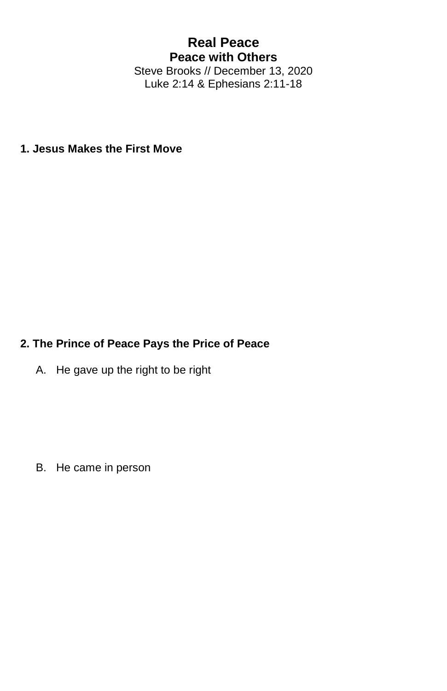## **Real Peace Peace with Others** Steve Brooks // December 13, 2020

Luke 2:14 & Ephesians 2:11-18

**1. Jesus Makes the First Move**

## **2. The Prince of Peace Pays the Price of Peace**

A. He gave up the right to be right

B. He came in person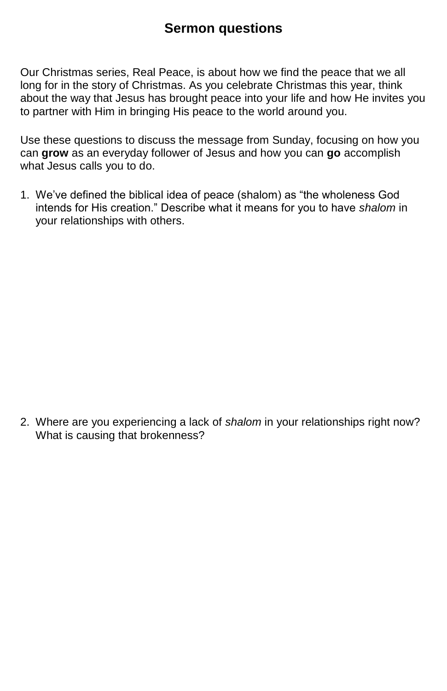## **Sermon questions**

Our Christmas series, Real Peace, is about how we find the peace that we all long for in the story of Christmas. As you celebrate Christmas this year, think about the way that Jesus has brought peace into your life and how He invites you to partner with Him in bringing His peace to the world around you.

Use these questions to discuss the message from Sunday, focusing on how you can **grow** as an everyday follower of Jesus and how you can **go** accomplish what Jesus calls you to do.

1. We've defined the biblical idea of peace (shalom) as "the wholeness God intends for His creation." Describe what it means for you to have *shalom* in your relationships with others.

2. Where are you experiencing a lack of *shalom* in your relationships right now? What is causing that brokenness?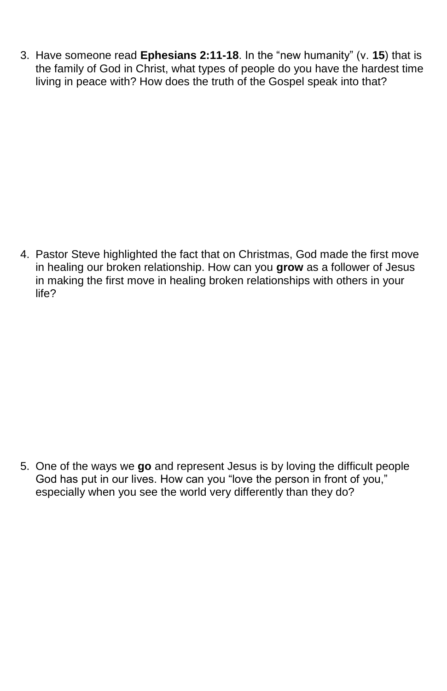3. Have someone read **Ephesians 2:11-18**. In the "new humanity" (v. **15**) that is the family of God in Christ, what types of people do you have the hardest time living in peace with? How does the truth of the Gospel speak into that?

4. Pastor Steve highlighted the fact that on Christmas, God made the first move in healing our broken relationship. How can you **grow** as a follower of Jesus in making the first move in healing broken relationships with others in your life?

5. One of the ways we **go** and represent Jesus is by loving the difficult people God has put in our lives. How can you "love the person in front of you," especially when you see the world very differently than they do?